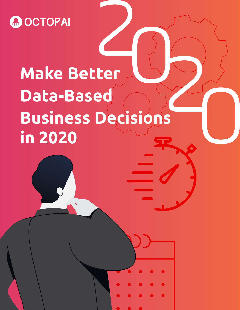**MOCTOPAI** 

# **Make Better Data-Based Business Decisions in 2020**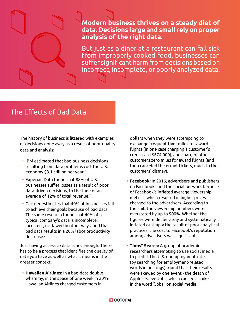

But just as a diner at a restaurant can fall sick from improperly cooked food, businesses can suffer significant harm from decisions based on incorrect, incomplete, or poorly analyzed data.

## The Effects of Bad Data

The history of business is littered with examples of decisions gone awry as a result of poor-quality data and analysis:

- [IBM estimated](https://hbr.org/2016/09/bad-data-costs-the-u-s-3-trillion-per-year) that bad business decisions resulting from data problems cost the U.S. economy \$3.1 trillion per year.<sup>1</sup>
- [Experian Data](https://www.smartdatacollective.com/lessons-can-learn-bad-data-mistakes-made-throughout-history/) found that 88% of U.S. businesses suffer losses as a result of poor data-driven decisions, to the tune of an average of 12% of total revenue.<sup>2</sup>
- [Gartner estimates](https://www.data.com/export/sites/data/common/assets/pdf/DS_Gartner.pdf) that 40% of businesses fail to achieve their goals because of bad data. The same research found that 40% of a typical company's data is incomplete, incorrect, or flawed in other ways, and that bad data results in a 20% labor productivity decrease.<sup>3</sup>

Just having access to data is not enough. There has to be a process that identifies the quality of data you have as well as what it means in the greater context.

**• Hawaiian Airlines:** In a bad-data doublewhammy, in the space of one week in 2019 Hawaiian Airlines charged customers in

dollars when they were attempting to exchange frequent-flyer miles for award flights (in one case charging a customer's credit card \$674,000), and charged other customers zero miles for award flights (and then canceled the errant tickets, much to the customers' dismay).

- **• Facebook:** In 2016, advertisers and publishers on Facebook sued the social network because of Facebook's inflated average viewership metrics, which resulted in higher prices charged to the advertisers. According to the suit, the viewership numbers were overstated by up to 900%. Whether the figures were deliberately and systematically inflated or simply the result of poor analytical practices, the cost to Facebook's reputation among advertisers was significant.
- **• "Jobs" Search:** A group of academic researchers attempting to use social media to predict the U.S. unemployment rate (by searching for employment-related words in postings) found that their results were skewed by one event - the death of Apple's Steve Jobs, which caused a spike in the word "Jobs" on social media.

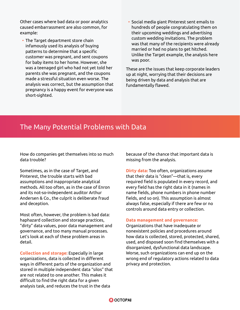Other cases where bad data or poor analytics caused embarrassment are also common, for example:

- The Target department store chain infamously used its analysis of buying patterns to determine that a specific customer was pregnant, and sent coupons for baby items to her home. However, she was a teenaged girl who had not yet told her parents she was pregnant, and the coupons made a stressful situation even worse. The analysis was correct, but the assumption that pregnancy is a happy event for everyone was short-sighted.
- Social media giant Pinterest sent emails to hundreds of people congratulating them on their upcoming weddings and advertising custom wedding invitations. The problem was that many of the recipients were already married or had no plans to get hitched. Unlike the Target example, the analysis here was poor.

These are the issues that keep corporate leaders up at night, worrying that their decisions are being driven by data and analysis that are fundamentally flawed.

### The Many Potential Problems with Data

How do companies get themselves into so much data trouble?

Sometimes, as in the case of Target, and Pinterest, the trouble starts with bad assumptions and inappropriate analytical methods. All too often, as in the case of Enron and its not-so-independent auditor Arthur Andersen & Co., the culprit is deliberate fraud and deception.

Most often, however, the problem is bad data: haphazard collection and storage practices, "dirty" data values, poor data management and governance, and too many manual processes. Let's look at each of these problem areas in detail.

**Collection and storage:** Especially in large organizations, data is collected in different ways in different parts of the organization and stored in multiple independent data "silos" that are not related to one another. This makes it difficult to find the right data for a given analysis task, and reduces the trust in the data

because of the chance that important data is missing from the analysis.

**Dirty data:** Too often, organizations assume that their data is "clean"—that is, every required field is populated in every record, and every field has the right data in it (names in name fields, phone numbers in phone number fields, and so on). This assumption is almost always false, especially if there are few or no controls around data entry or collection.

#### **Data management and governance:**

Organizations that have inadequate or nonexistent policies and procedures around how data is collected, stored, protected, shared, used, and disposed soon find themselves with a disorganized, dysfunctional data landscape. Worse, such organizations can end up on the wrong end of regulatory actions related to data privacy and protection.

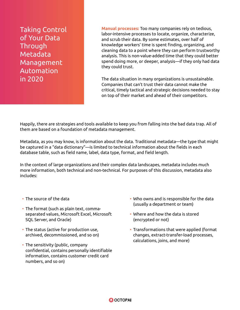Taking Control of Your Data Through Metadata Management Automation in 2020

**Manual processes:** Too many companies rely on tedious, labor-intensive processes to locate, organize, characterize, and scrub their data. By some estimates, over half of knowledge workers' time is spent finding, organizing, and cleaning data to a point where they can perform trustworthy analysis. This is non-value-added time that they could better spend doing more, or deeper, analysis—if they only had data they could trust.

The data situation in many organizations is unsustainable. Companies that can't trust their data cannot make the critical, timely tactical and strategic decisions needed to stay on top of their market and ahead of their competitors.

Happily, there are strategies and tools available to keep you from falling into the bad data trap. All of them are based on a foundation of metadata management.

Metadata, as you may know, is information about the data. Traditional metadata—the type that might be captured in a "data dictionary"—is limited to technical information about the fields in each database table, such as field name, label, data type, format, and field length.

In the context of large organizations and their complex data landscapes, metadata includes much more information, both technical and non-technical. For purposes of this discussion, metadata also includes:

- The source of the data
- The format (such as plain text, commaseparated values, Microsoft Excel, Microsoft SQL Server, and Oracle)
- The status (active for production use, archived, decommissioned, and so on)
- The sensitivity (public, company confidential, contains personally identifiable information, contains customer credit card numbers, and so on)
- Who owns and is responsible for the data (usually a department or team)
- Where and how the data is stored (encrypted or not)
- Transformations that were applied (format changes, extract-transfer-load processes, calculations, joins, and more)

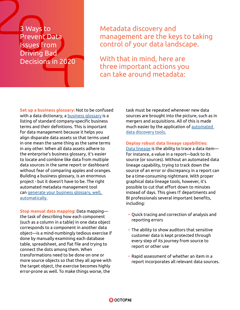## 3 Ways to Prevent Data Issues from Driving Bad Decisions in 2020

Metadata discovery and management are the keys to taking control of your data landscape.

With that in mind, here are three important actions you can take around metadata:

**Set up a business glossary:** Not to be confused with a data dictionary, a **business glossary** is a listing of standard company-specific business terms and their definitions. This is important for data management because it helps you align disparate data assets so that terms used in one mean the same thing as the same terms in any other. When all data assets adhere to the enterprise's business glossary, it's easier to locate and combine like data from multiple data sources in the same report or dashboard without fear of comparing apples and oranges. Building a business glossary, is an enormous project - but it doesn't have to be. The right automated metadata management tool can [generate your business glossary, well,](https://www.octopai.com/lp/the-automated-business-glossary/)  [automatically.](https://www.octopai.com/lp/the-automated-business-glossary/)

**Stop manual data mapping:** Data mapping the task of describing how each component (such as a column in a table) in one data object corresponds to a component in another data object—is a mind-numbingly tedious exercise if done by manually examining each database table, spreadsheet, and flat file and trying to connect the dots among them. When transformations need to be done on one or more source objects so that they all agree with the target object, the exercise becomes highly error-prone as well. To make things worse, the

task must be repeated whenever new data sources are brought into the picture, such as in mergers and acquisitions. All of this is made much easier by the application of [automated](https://www.octopai.com/what-is-automated-data-discovery/)  [data discovery tools.](https://www.octopai.com/what-is-automated-data-discovery/)

#### **Deploy robust data lineage capabilities:**

[Data lineage](https://www.octopai.com/what-is-data-lineage/) is the ability to trace a data item for instance, a value in a report—back to its source (or sources). Without an automated data lineage capability, trying to track down the source of an error or discrepancy in a report can be a time-consuming nightmare. With proper graphical data lineage tools, however, it's possible to cut that effort down to minutes instead of days. This gives IT departments and BI professionals several important benefits, including:

- Quick tracing and correction of analysis and reporting errors
- The ability to show auditors that sensitive customer data is kept protected through every step of its journey from source to report or other use
- Rapid assessment of whether an item in a report incorporates all relevant data sources.

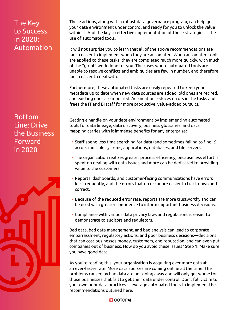## The Key to Success in 2020: Automation

Bottom Line: Drive the Business Forward in 2020



These actions, along with a robust data governance program, can help get your data environment under control and ready for you to unlock the value within it. And the key to effective implementation of these strategies is the use of automated tools.

It will not surprise you to learn that all of the above recommendations are much easier to implement when they are automated. When automated tools are applied to these tasks, they are completed much more quickly, with much of the "grunt" work done for you. The cases where automated tools are unable to resolve conflicts and ambiguities are few in number, and therefore much easier to deal with.

Furthermore, these automated tasks are easily repeated to keep your metadata up to date when new data sources are added, old ones are retired, and existing ones are modified. Automation reduces errors in the tasks and frees the IT and BI staff for more productive, value-added pursuits.

Getting a handle on your data environment by implementing automated tools for data lineage, data discovery, business glossaries, and data mapping carries with it immense benefits for any enterprise:

- Staff spend less time searching for data (and sometimes failing to find it) across multiple systems, applications, databases, and file servers.
- The organization realizes greater process efficiency, because less effort is spent on dealing with data issues and more can be dedicated to providing value to the customers.
- Reports, dashboards, and customer-facing communications have errors less frequently, and the errors that do occur are easier to track down and correct.
- Because of the reduced error rate, reports are more trustworthy and can be used with greater confidence to inform important business decisions.
- Compliance with various data privacy laws and regulations is easier to demonstrate to auditors and regulators.

Bad data, bad data management, and bad analysis can lead to corporate embarrassment, regulatory actions, and poor business decisions—decisions that can cost businesses money, customers, and reputation, and can even put companies out of business. How do you avoid these issues? Step 1: Make sure you have good data.

As you're reading this, your organization is acquiring ever more data at an ever-faster rate. More data sources are coming online all the time. The problems caused by bad data are not going away and will only get worse for those businesses that fail to get their data under control. Don't fall victim to your own poor data practices—leverage automated tools to implement the recommendations outlined here.